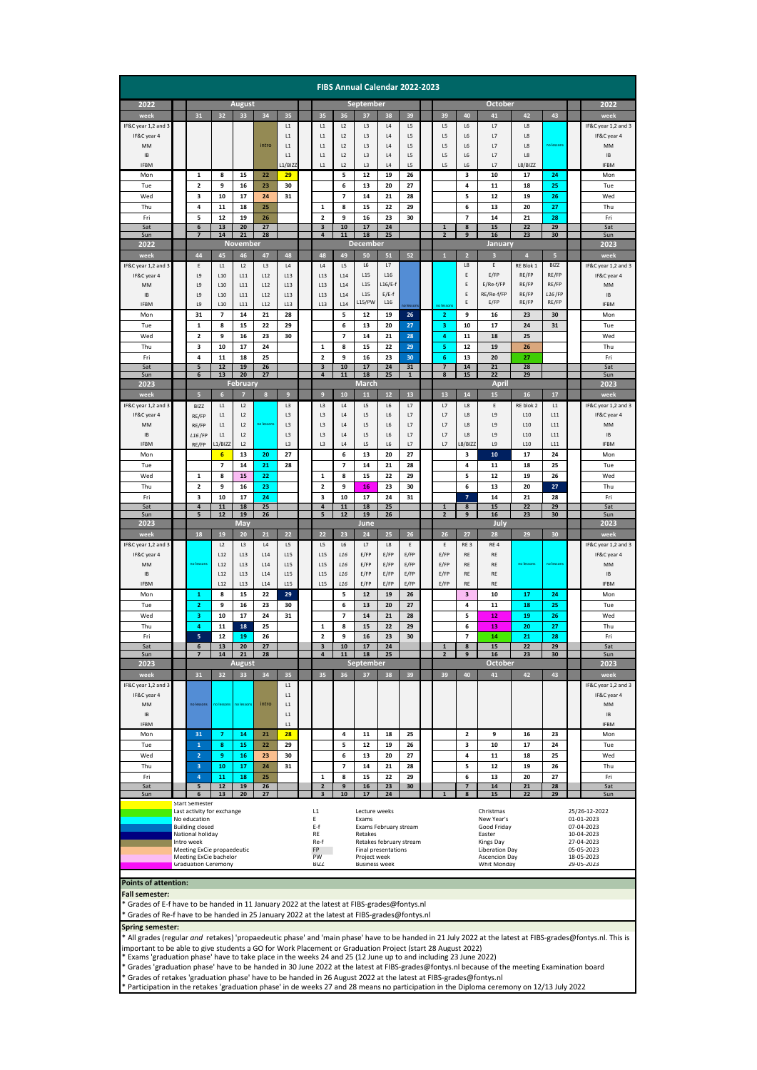|                                                                                           |                                                      |                                            |                                         |                     |            |                     |                                                  |                                                 |                                    | FIBS Annual Calendar 2022-2023 |                       |                    |                     |                                        |                               |                         |                    |                 |                             |                                    |
|-------------------------------------------------------------------------------------------|------------------------------------------------------|--------------------------------------------|-----------------------------------------|---------------------|------------|---------------------|--------------------------------------------------|-------------------------------------------------|------------------------------------|--------------------------------|-----------------------|--------------------|---------------------|----------------------------------------|-------------------------------|-------------------------|--------------------|-----------------|-----------------------------|------------------------------------|
| <b>August</b><br>2022                                                                     |                                                      |                                            |                                         |                     |            |                     |                                                  | <b>September</b>                                |                                    |                                |                       |                    | October             |                                        |                               |                         |                    |                 |                             | 2022                               |
| week                                                                                      |                                                      | 31                                         | 32                                      | 33                  | 34         | 35                  |                                                  | 35                                              | 36                                 | 37                             | 38                    | 39                 |                     | 39                                     | 40                            | 41                      | 42                 | 43              |                             | week                               |
| IF&C year 1,2 and 3                                                                       |                                                      |                                            |                                         |                     |            | L1                  |                                                  | L1                                              | L2                                 | L3                             | L4                    | L5                 |                     | L5                                     | L6                            | L7                      | L8                 |                 |                             | IF&C year 1,2 and 3                |
| IF&C year 4<br>MM                                                                         |                                                      |                                            |                                         |                     | intro      | L1<br>L1            |                                                  | $\mathsf{L} \mathsf{1}$<br>L1                   | L2<br>L2                           | L3<br>L3                       | L4<br>L4              | L5<br>L5           |                     | L5<br>L5                               | L6<br>L <sub>6</sub>          | L7<br>L7                | L8<br>L8           | no lesson       |                             | IF&C year 4<br>MM                  |
| IB                                                                                        |                                                      |                                            |                                         |                     |            | L1                  |                                                  | L1                                              | L2                                 | L3                             | L4                    | L5                 |                     | L5                                     | L6                            | L7                      | L8                 |                 |                             | IB                                 |
| <b>IFBM</b>                                                                               |                                                      |                                            |                                         |                     |            | L1/BIZZ             |                                                  | 11                                              | 12                                 | 13                             | 4                     | L5                 |                     | 15                                     | 16                            | 17                      | L8/BIZZ            |                 |                             | <b>IFBM</b>                        |
| Mon<br>Tue                                                                                |                                                      | $\mathbf 1$<br>$\overline{\mathbf{c}}$     | 8<br>9                                  | 15<br>16            | 22<br>23   | 29<br>30            |                                                  |                                                 | 5<br>6                             | 12<br>13                       | 19<br>20              | 26<br>27           |                     |                                        | 3<br>4                        | 10<br>11                | 17<br>18           | 24<br>25        |                             | Mon<br>Tue                         |
| Wed                                                                                       |                                                      | 3                                          | 10                                      | 17                  | 24         | 31                  |                                                  |                                                 | $\overline{\phantom{a}}$           | 14                             | 21                    | 28                 |                     |                                        | 5                             | 12                      | 19                 | 26              |                             | Wed                                |
| Thu                                                                                       |                                                      | 4                                          | 11                                      | 18                  | 25         |                     |                                                  | $\mathbf 1$                                     | 8                                  | 15                             | 22                    | 29                 |                     |                                        | 6                             | 13                      | 20                 | 27              |                             | Thu                                |
| Fri                                                                                       |                                                      | 5                                          | 12                                      | 19                  | 26         |                     |                                                  | $\mathbf 2$                                     | 9                                  | 16                             | 23                    | 30                 |                     |                                        | $\overline{\phantom{a}}$      | 14                      | 21                 | 28              |                             | Fri                                |
| Sat<br>Sun                                                                                |                                                      | 6<br>$\overline{z}$                        | 13<br>14                                | 20<br>21            | 27<br>28   | HHHH                |                                                  | $\overline{\mathbf{3}}$<br>$\overline{a}$       | 10<br>11                           | 17<br>18                       | 24<br>25              |                    |                     | $\mathbf{1}$<br>$\overline{2}$         | 8<br>9                        | 15<br>16                | 22<br>23           | 29<br>30        |                             | Sat<br>Sun                         |
| 2022                                                                                      |                                                      |                                            |                                         | <b>November</b>     |            |                     |                                                  |                                                 |                                    | <b>December</b>                |                       |                    |                     |                                        |                               | January                 |                    |                 |                             | 2023                               |
| week                                                                                      |                                                      | 44                                         | 45                                      | 46                  | 47         | 48                  |                                                  | 48                                              | 49                                 | 50                             | 51                    | 52                 |                     | $\mathbf{1}$                           | $\overline{2}$                | $\overline{\mathbf{3}}$ | $\overline{4}$     | 5               |                             | week                               |
| IF&C year 1,2 and 3<br>IF&C year 4                                                        |                                                      | E<br>L9                                    | L1<br>L <sub>10</sub>                   | L2<br>L11           | L3<br>L12  | L4<br>L13           |                                                  | L4<br>L <sub>13</sub>                           | L5<br>L14                          | L6<br>L15                      | L7<br>L16             |                    |                     |                                        | L8<br>Ε                       | Ε<br>E/FP               | RE Blok 1<br>RE/FP | BIZZ<br>RE/FP   |                             | IF&C year 1,2 and 3<br>IF&C year 4 |
| MM                                                                                        |                                                      | L9                                         | L10                                     | L11                 | L12        | L13                 |                                                  | 113                                             | L14                                | L15                            | $L16/E-f$             |                    |                     |                                        | E                             | E/Re-f/FP               | RE/FP              | RE/FP           |                             | MM                                 |
| IB                                                                                        |                                                      | L9                                         | L <sub>10</sub>                         | L11                 | L12        | L13                 |                                                  | L13                                             | L14                                | L <sub>15</sub>                | $E/E-f$               |                    |                     |                                        | E<br>E                        | RE/Re-f/FP              | RE/FP              | L16/FP<br>RE/FP |                             | IB                                 |
| <b>IFBM</b><br>Mon                                                                        |                                                      | L9<br>31                                   | 110<br>7                                | 111<br>14           | 112<br>21  | 113<br>28           |                                                  | 113                                             | 114<br>5                           | L15/PW<br>12                   | L <sub>16</sub><br>19 | 26                 |                     | $\mathbf{z}$                           | 9                             | $E$ /FP<br>16           | RE/FP<br>23        | 30              |                             | <b>IFBM</b><br>Mon                 |
| Tue                                                                                       |                                                      | 1                                          | 8                                       | 15                  | 22         | 29                  |                                                  |                                                 | 6                                  | 13                             | 20                    | 27                 |                     | з                                      | 10                            | 17                      | 24                 | 31              |                             | Tue                                |
| Wed                                                                                       |                                                      | 2                                          | 9                                       | 16                  | 23         | 30                  |                                                  |                                                 | 7                                  | 14                             | 21                    | 28                 |                     | 4                                      | 11                            | 18                      | 25                 |                 |                             | Wed                                |
| Thu                                                                                       |                                                      | 3                                          | 10                                      | 17                  | 24         |                     |                                                  | $\mathbf 1$                                     | 8                                  | 15                             | 22                    | 29                 |                     | 5                                      | 12                            | 19                      | 26                 |                 |                             | Thu                                |
| Fri                                                                                       |                                                      | 4                                          | 11                                      | 18                  | 25         |                     |                                                  | $\overline{2}$                                  | 9                                  | 16                             | 23                    | 30                 |                     | 6                                      | 13                            | 20                      | 27                 |                 |                             | Fri                                |
| Sat<br>Sun                                                                                |                                                      | 5<br>6                                     | 12<br>13                                | 19<br>20            | 26<br>27   |                     |                                                  | 3<br>$\overline{\mathbf{a}}$                    | 10<br>11                           | 17<br>18                       | 24<br>25              | 31<br>$\mathbf{1}$ |                     | 7<br>8                                 | 14<br>15                      | 21<br>22                | 28<br>29           |                 |                             | Sat<br>Sun                         |
| 2023                                                                                      |                                                      |                                            |                                         | February            |            |                     |                                                  |                                                 |                                    | March                          |                       |                    |                     |                                        |                               | April                   |                    |                 |                             | 2023                               |
| week                                                                                      |                                                      | 5                                          | $6\phantom{1}$<br>L1                    | 7<br>L2             | $\bf{8}$   | 9<br>L <sub>3</sub> |                                                  | 9<br>L <sub>3</sub>                             | 10<br>L4                           | 11                             | $12$                  | 13<br>L7           |                     | 13<br>L7                               | 14<br>L8                      | 15<br>Ε                 | 16                 | 17<br>L1        |                             | week<br>IF&C year 1,2 and 3        |
| IF&C year 1,2 and 3<br>IF&C year 4                                                        |                                                      | <b>BIZZ</b><br>RE/FP                       | L1                                      | L2                  |            | L3                  |                                                  | L3                                              | L4                                 | L5<br>L5                       | L6<br>L6              | L7                 |                     | L7                                     | L8                            | L9                      | RE blok 2<br>L10   | L11             |                             | IF&C year 4                        |
| MM                                                                                        |                                                      | RE/FP                                      | L1                                      | L2                  | no lesson  | L3                  |                                                  | L <sub>3</sub>                                  | L4                                 | L5                             | L6                    | L7                 |                     | L7                                     | L8                            | L9                      | L10                | L11             |                             | MM                                 |
| IB                                                                                        |                                                      | L16/FP                                     | L1                                      | L2                  |            | L3                  |                                                  | L <sub>3</sub>                                  | L4                                 | L5                             | L6                    | L7                 |                     | L7                                     | L8                            | L9                      | L10                | L11             |                             | IB                                 |
| <b>IFBM</b><br>Mon                                                                        |                                                      | RE/FP                                      | $1/B$ <sub>IZZ</sub><br>$6\overline{6}$ | L2<br>13            | 20         | L3<br>27            |                                                  | L3                                              | L4<br>6                            | L5<br>13                       | L6<br>20              | L7<br>27           |                     | L7                                     | $8/B$ IZZ<br>з                | L9<br>10                | L10<br>17          | L11<br>24       |                             | <b>IFBM</b><br>Mon                 |
| Tue                                                                                       |                                                      |                                            | $\overline{\phantom{a}}$                | 14                  | 21         | 28                  |                                                  |                                                 | 7                                  | 14                             | 21                    | 28                 |                     |                                        | 4                             | 11                      | 18                 | 25              |                             | Tue                                |
| Wed                                                                                       |                                                      | $\mathbf{1}$                               | 8                                       | 15                  | 22         |                     |                                                  | 1                                               | 8                                  | 15                             | 22                    | 29                 |                     |                                        | 5                             | 12                      | 19                 | 26              |                             | Wed                                |
| Thu                                                                                       |                                                      | 2                                          | 9                                       | 16                  | 23         |                     |                                                  | $\mathbf 2$                                     | 9                                  | 16                             | 23                    | 30                 |                     |                                        | 6                             | 13                      | 20                 | 27              |                             | Thu                                |
| Fri<br>Sat                                                                                |                                                      | 3<br>$\overline{\mathbf{4}}$               | 10<br>$11$                              | 17<br>18            | 24<br>25   |                     |                                                  | 3<br>$\overline{4}$                             | 10<br>$11$                         | 17<br>18                       | 24<br>25              | 31                 |                     | 1                                      | $\overline{\phantom{a}}$<br>8 | 14<br>15                | 21<br>22           | 28<br>29        |                             | Fri<br>Sat                         |
| Sun                                                                                       |                                                      | IS.                                        | 12                                      | 19                  | 26         | 888888              |                                                  | 5                                               | 12                                 | 19                             | 26                    | 8888               |                     | $\overline{2}$                         | 9                             | 16                      | 23                 | 30              |                             | Sun                                |
| 2023<br>week                                                                              |                                                      | 18                                         | 19                                      | May<br>20           | 21         | 22                  |                                                  | 22                                              | 23                                 | June<br>24                     | 25                    | 26                 |                     | 26                                     | 27                            | July<br>28              | 29                 | 30              |                             | 2023<br>week                       |
| IF&C year 1,2 and 3                                                                       |                                                      |                                            | L <sub>2</sub>                          | L3                  | L4         | L5                  |                                                  | L5                                              | L6                                 | L7                             | L8                    | Ε                  |                     | Ε                                      | RE3                           | RE4                     |                    |                 |                             | IF&C year 1,2 and 3                |
| IF&C year 4                                                                               |                                                      |                                            | L12                                     | L13                 | L14        | L15                 |                                                  | L <sub>15</sub>                                 | L <sub>16</sub>                    | E/FP                           | E/FP                  | E/FP               |                     | E/FP                                   | RE                            | RE                      |                    |                 |                             | IF&C year 4                        |
| MM<br>IB                                                                                  |                                                      | no lesson                                  | L12<br>L12                              | L13<br>L13          | L14<br>L14 | L15<br>L15          |                                                  | L <sub>15</sub><br>L <sub>15</sub>              | L <sub>16</sub><br>L <sub>16</sub> | E/FP<br>E/FP                   | E/FP<br>E/FP          | E/FP<br>E/FP       |                     | E/FP<br>E/FP                           | RE<br>RE                      | RE<br>RE                | no lessons         | no lesson       |                             | MM<br>IB                           |
| <b>IFBM</b>                                                                               |                                                      |                                            | L12                                     | L13                 | L14        | L <sub>15</sub>     |                                                  | L <sub>15</sub>                                 | L <sub>16</sub>                    | E/FP                           | E/FP                  | E/FP               |                     | E/FP                                   | RE                            | RE                      |                    |                 |                             | <b>IFBM</b>                        |
| Mon                                                                                       |                                                      | 1                                          | 8                                       | 15                  | 22         | 29                  |                                                  |                                                 | 5                                  | 12                             | 19                    | 26                 |                     |                                        | $\overline{\mathbf{3}}$       | 10                      | 17                 | 24              |                             | Mon                                |
| Tue                                                                                       |                                                      | $\overline{2}$                             | 9                                       | 16                  | 23         | 30                  |                                                  |                                                 | 6                                  | 13                             | 20                    | 27                 |                     |                                        | 4                             | 11                      | 18                 | 25              |                             | Tue                                |
| Wed<br>Thu                                                                                |                                                      | з<br>$\overline{a}$                        | 10<br>11                                | 17<br>18            | 24<br>25   | 31                  |                                                  |                                                 | 7<br>8                             | 14<br>15                       | 21<br>22              | 28<br>29           |                     |                                        | 5                             | 12                      | 19                 | 26              |                             | Wed<br>Thu                         |
| Fri                                                                                       |                                                      | 5                                          | 12                                      | 19                  | 26         |                     |                                                  | 1<br>$\overline{\mathbf{c}}$                    | 9                                  | 16                             | 23                    | 30                 |                     |                                        | 6<br>$\overline{7}$           | 13<br>14                | 20<br>21           | 27<br>28        |                             | Fri                                |
| Sat                                                                                       |                                                      | 6                                          | 13                                      | 20                  | 27         |                     |                                                  | 3                                               | 10                                 | 17                             | 24                    |                    |                     | $\mathbf{1}$                           | 8                             | 15                      | 22                 | 29              |                             | Sat                                |
| Sun<br>2023                                                                               |                                                      | $\overline{z}$                             | 14                                      | 21<br><b>August</b> | 28         |                     |                                                  | $\overline{a}$                                  | 11                                 | 18<br><b>September</b>         | 25                    |                    |                     | $\overline{2}$                         | 9                             | 16<br><b>October</b>    | 23                 | 30              |                             | Sun<br>2023                        |
| week                                                                                      |                                                      | 31                                         | 32                                      | 33                  | 34         | 35                  |                                                  | 35                                              | 36                                 | 37                             | 38                    | 39                 |                     | 39                                     | 40                            | 41                      | 42                 | 43              |                             | week                               |
| IF&C year 1,2 and 3                                                                       |                                                      |                                            |                                         |                     |            | L1                  |                                                  |                                                 |                                    |                                |                       |                    |                     |                                        |                               |                         |                    |                 |                             | IF&C year 1,2 and 3                |
| IF&C year 4                                                                               |                                                      | no lessons                                 | no lesson:                              | no lessor           | intro      | L1                  |                                                  |                                                 |                                    |                                |                       |                    |                     |                                        |                               |                         |                    |                 |                             | IF&C year 4                        |
| MM<br><b>IB</b>                                                                           |                                                      |                                            |                                         |                     |            | L1<br>L1            |                                                  |                                                 |                                    |                                |                       |                    |                     |                                        |                               |                         |                    |                 |                             | MM<br><b>IB</b>                    |
| <b>IFBM</b>                                                                               |                                                      |                                            |                                         |                     |            | L1                  |                                                  |                                                 |                                    |                                |                       |                    |                     |                                        |                               |                         |                    |                 |                             | <b>IFBM</b>                        |
| Mon                                                                                       |                                                      | 31                                         | $\overline{7}$                          | 14                  | 21         | 28                  |                                                  |                                                 | 4                                  | 11                             | 18                    | 25                 |                     |                                        | $\overline{\mathbf{2}}$       | 9                       | 16                 | 23              |                             | Mon                                |
| Tue                                                                                       |                                                      | $\mathbf 1$                                | 8                                       | 15                  | 22         | 29                  |                                                  |                                                 | 5<br>6                             | 12<br>13                       | 19                    | 26                 |                     |                                        | 3<br>4                        | 10                      | 17                 | 24<br>25        |                             | Tue                                |
| Wed<br>Thu                                                                                |                                                      | $\overline{2}$<br>3                        | 9<br>10                                 | 16<br>17            | 23<br>24   | 30<br>31            |                                                  |                                                 | 7                                  | 14                             | 20<br>21              | 27<br>28           |                     |                                        | 5                             | 11<br>12                | 18<br>19           | 26              |                             | Wed<br>Thu                         |
| Fri                                                                                       |                                                      | $\overline{4}$                             | 11                                      | 18                  | 25         |                     |                                                  | 1                                               | 8                                  | 15                             | 22                    | 29                 |                     |                                        | 6                             | 13                      | 20                 | 27              |                             | Fri                                |
| Sat                                                                                       |                                                      | 5<br>6                                     | $12$<br>13                              | 19<br>20            | 26<br>27   |                     |                                                  | $\overline{\mathbf{z}}$                         | 9                                  | 16                             | 23                    | 30                 |                     |                                        | 7                             | 14                      | 21<br>22           | 28<br>29        |                             | Sat                                |
| Sun                                                                                       |                                                      | <b>Start Semester</b>                      |                                         |                     |            |                     |                                                  | 10<br>17<br>24<br>$\overline{3}$                |                                    |                                |                       |                    |                     | $\boldsymbol{8}$<br>15<br>69           |                               |                         |                    |                 |                             | Sun                                |
|                                                                                           |                                                      | Last activity for exchange<br>No education |                                         |                     |            |                     |                                                  | L1<br>E                                         |                                    | Lecture weeks                  |                       |                    |                     | Christmas<br>New Year's                |                               |                         |                    |                 | 25/26-12-2022<br>01-01-2023 |                                    |
|                                                                                           |                                                      | <b>Building closed</b>                     |                                         |                     |            |                     | Exams<br>E-f<br>Exams February stream            |                                                 |                                    |                                |                       |                    | Good Friday         |                                        |                               |                         |                    |                 | 07-04-2023                  |                                    |
|                                                                                           |                                                      | National holiday<br>Intro week             |                                         |                     |            |                     | RE<br>Retakes<br>Re-f<br>Retakes february stream |                                                 |                                    |                                |                       |                    | Easter<br>Kings Day |                                        |                               |                         |                    |                 | 10-04-2023<br>27-04-2023    |                                    |
|                                                                                           | Meeting ExCie propaedeutic<br>Meeting ExCie bachelor |                                            |                                         |                     |            |                     |                                                  | FP<br>Final presentations<br>PW<br>Project week |                                    |                                |                       |                    |                     | <b>Liberation Day</b><br>Ascencion Day |                               |                         |                    |                 |                             | 05-05-2023<br>18-05-2023           |
|                                                                                           |                                                      | <b>Graduation Ceremony</b>                 |                                         |                     |            |                     |                                                  | BIZZ<br><b>Business week</b>                    |                                    |                                |                       |                    |                     | Whit Monday                            |                               |                         |                    |                 |                             | 29-05-2023                         |
| <b>Points of attention:</b>                                                               |                                                      |                                            |                                         |                     |            |                     |                                                  |                                                 |                                    |                                |                       |                    |                     |                                        |                               |                         |                    |                 |                             |                                    |
| <b>Fall semester:</b>                                                                     |                                                      |                                            |                                         |                     |            |                     |                                                  |                                                 |                                    |                                |                       |                    |                     |                                        |                               |                         |                    |                 |                             |                                    |
| Grades of E-f have to be handed in 11 January 2022 at the latest at FIBS-grades@fontys.nl |                                                      |                                            |                                         |                     |            |                     |                                                  |                                                 |                                    |                                |                       |                    |                     |                                        |                               |                         |                    |                 |                             |                                    |

\* Grades of Re-f have to be handed in 25 January 2022 at the latest at FIBS-grades@fontys.nl

**Spring semester:**

\* All grades (regular *and* retakes) 'propaedeutic phase' and 'main phase' have to be handed in 21 July 2022 at the latest at FIBS-grades@fontys.nl. This is

important to be able to give students a GO for Work Placement or Graduation Project (start 28 August 2022)<br>\* Exams 'graduation phase' have to take place in the weeks 24 and 25 (12 June up to and including 23 June 2022)

\* Grades 'graduation phase' have to be handed in 30 June 2022 at the latest at FIBS-grades@fontys.nl because of the meeting Examination board

\* Grades of retakes 'graduation phase' have to be handed in 26 August 2022 at the latest at FIBS-grades@fontys.nl \* Participation in the retakes 'graduation phase' in de weeks 27 and 28 means no participation in the Diploma ceremony on 12/13 July 2022